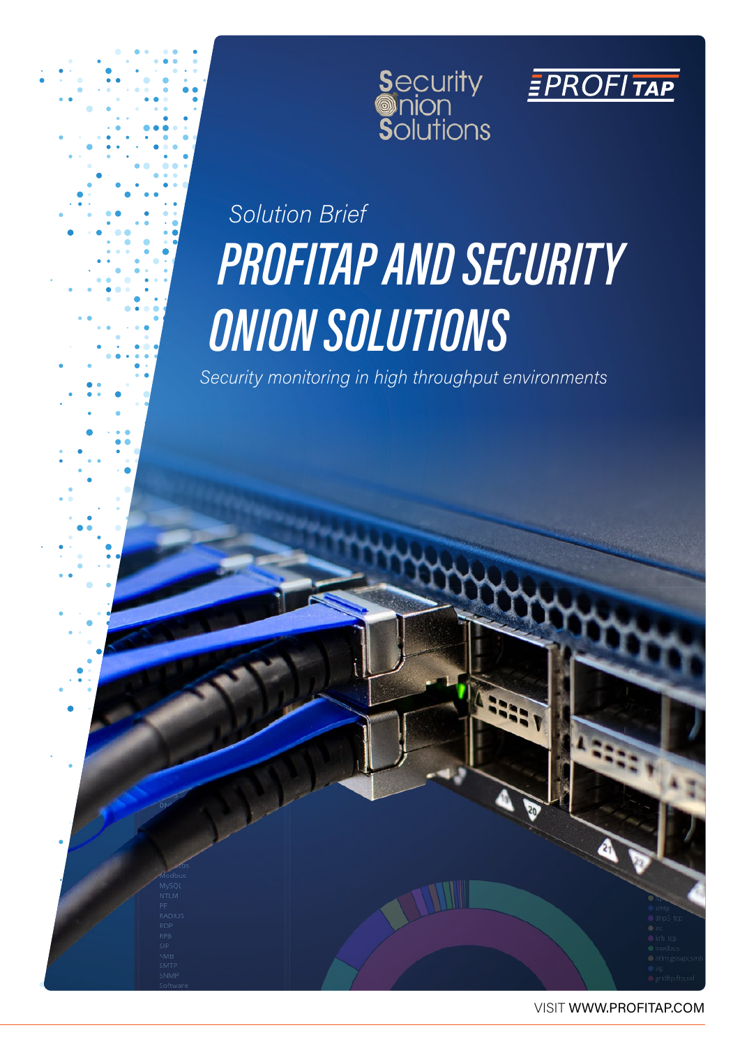



## *Solution Brief PROFITAP AND SECURITY ONION SOLUTIONS*

*Security monitoring in high throughput environments*

VISIT WWW.PROFITAP.COM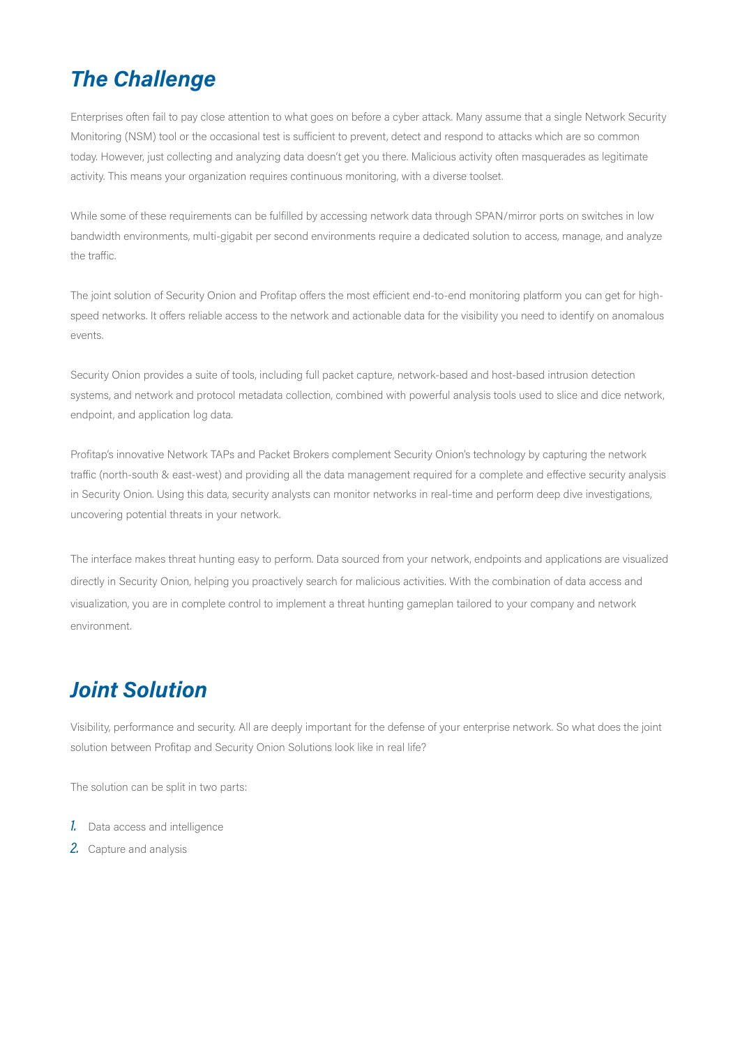#### *The Challenge*

Enterprises often fail to pay close attention to what goes on before a cyber attack. Many assume that a single Network Security Monitoring (NSM) tool or the occasional test is sufficient to prevent, detect and respond to attacks which are so common today. However, just collecting and analyzing data doesn't get you there. Malicious activity often masquerades as legitimate activity. This means your organization requires continuous monitoring, with a diverse toolset.

While some of these requirements can be fulfilled by accessing network data through SPAN/mirror ports on switches in low bandwidth environments, multi-gigabit per second environments require a dedicated solution to access, manage, and analyze the traffic.

The joint solution of Security Onion and Profitap offers the most efficient end-to-end monitoring platform you can get for highspeed networks. It offers reliable access to the network and actionable data for the visibility you need to identify on anomalous events.

Security Onion provides a suite of tools, including full packet capture, network-based and host-based intrusion detection systems, and network and protocol metadata collection, combined with powerful analysis tools used to slice and dice network, endpoint, and application log data.

Profitap's innovative Network TAPs and Packet Brokers complement Security Onion's technology by capturing the network traffic (north-south & east-west) and providing all the data management required for a complete and effective security analysis in Security Onion. Using this data, security analysts can monitor networks in real-time and perform deep dive investigations, uncovering potential threats in your network.

The interface makes threat hunting easy to perform. Data sourced from your network, endpoints and applications are visualized directly in Security Onion, helping you proactively search for malicious activities. With the combination of data access and visualization, you are in complete control to implement a threat hunting gameplan tailored to your company and network environment.

#### *Joint Solution*

Visibility, performance and security. All are deeply important for the defense of your enterprise network. So what does the joint solution between Profitap and Security Onion Solutions look like in real life?

The solution can be split in two parts:

- *1.* Data access and intelligence
- *2.* Capture and analysis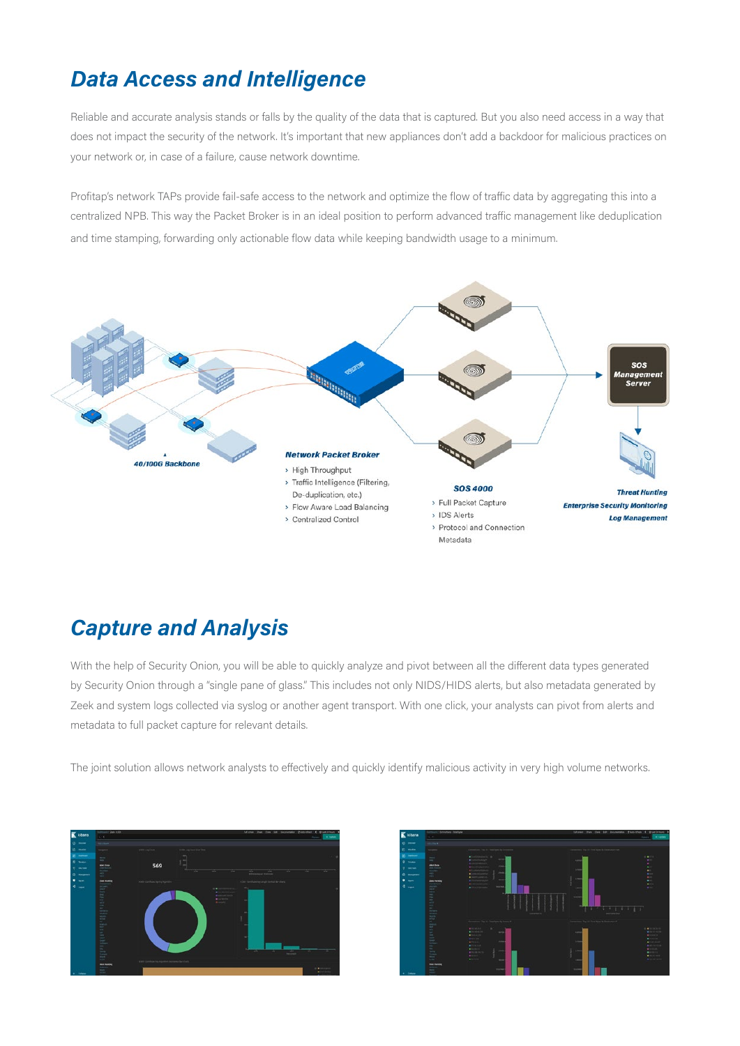#### *Data Access and Intelligence*

Reliable and accurate analysis stands or falls by the quality of the data that is captured. But you also need access in a way that does not impact the security of the network. It's important that new appliances don't add a backdoor for malicious practices on your network or, in case of a failure, cause network downtime.

Profitap's network TAPs provide fail-safe access to the network and optimize the flow of traffic data by aggregating this into a centralized NPB. This way the Packet Broker is in an ideal position to perform advanced traffic management like deduplication and time stamping, forwarding only actionable flow data while keeping bandwidth usage to a minimum.



#### *Capture and Analysis*

With the help of Security Onion, you will be able to quickly analyze and pivot between all the different data types generated by Security Onion through a "single pane of glass." This includes not only NIDS/HIDS alerts, but also metadata generated by Zeek and system logs collected via syslog or another agent transport. With one click, your analysts can pivot from alerts and metadata to full packet capture for relevant details.

The joint solution allows network analysts to effectively and quickly identify malicious activity in very high volume networks.



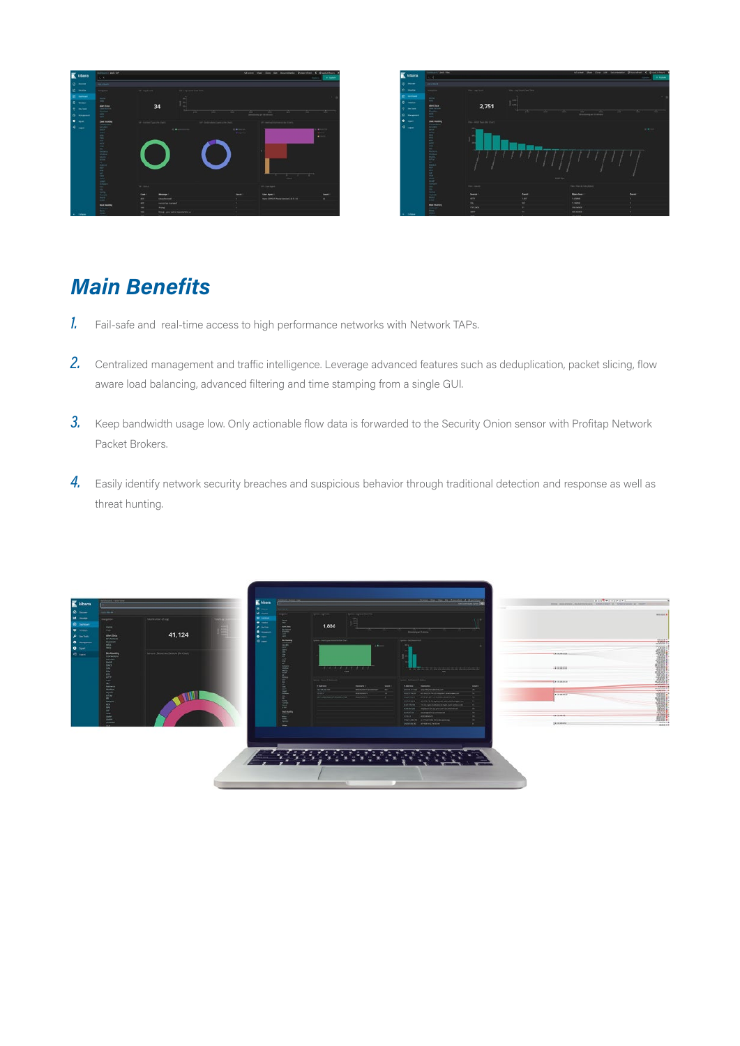



#### *Main Benefits*

- *1.* Fail-safe and real-time access to high performance networks with Network TAPs.
- 2. Centralized management and traffic intelligence. Leverage advanced features such as deduplication, packet slicing, flow aware load balancing, advanced filtering and time stamping from a single GUI.
- **3.** Keep bandwidth usage low. Only actionable flow data is forwarded to the Security Onion sensor with Profitap Network Packet Brokers.
- 4. Easily identify network security breaches and suspicious behavior through traditional detection and response as well as threat hunting.

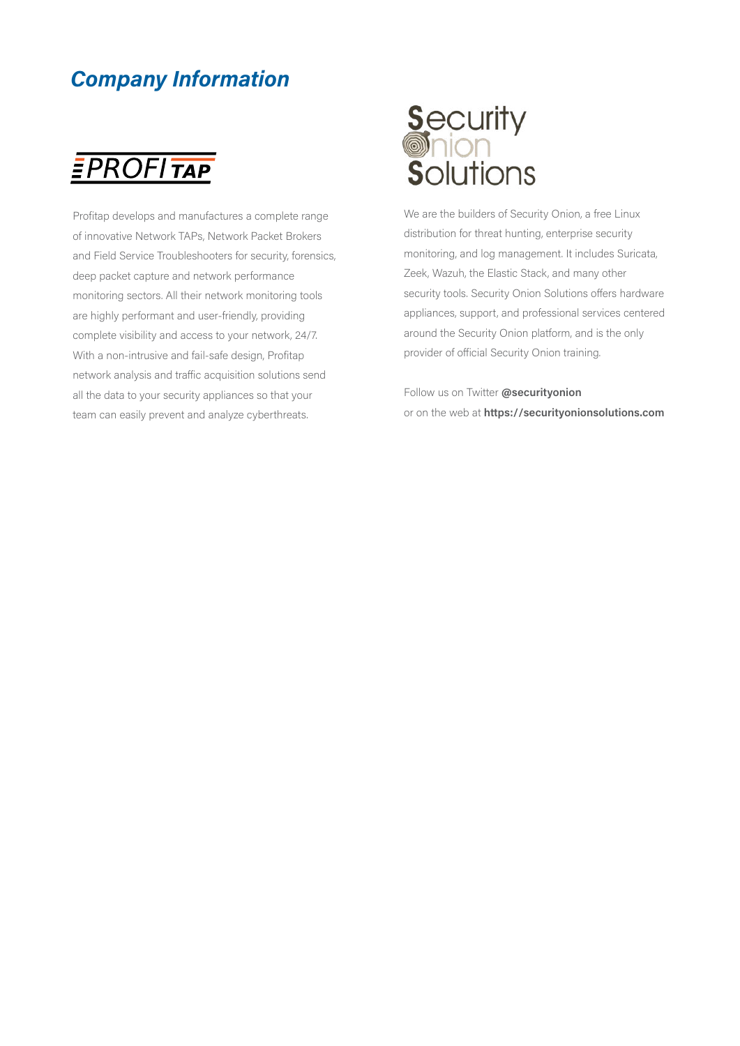#### *Company Information*

### **EPROFITAP**

Profitap develops and manufactures a complete range of innovative Network TAPs, Network Packet Brokers and Field Service Troubleshooters for security, forensics, deep packet capture and network performance monitoring sectors. All their network monitoring tools are highly performant and user-friendly, providing complete visibility and access to your network, 24/7. With a non-intrusive and fail-safe design, Profitap network analysis and traffic acquisition solutions send all the data to your security appliances so that your team can easily prevent and analyze cyberthreats.

# **Security<br>Onion<br>Solutions**

We are the builders of Security Onion, a free Linux distribution for threat hunting, enterprise security monitoring, and log management. It includes Suricata, Zeek, Wazuh, the Elastic Stack, and many other security tools. Security Onion Solutions offers hardware appliances, support, and professional services centered around the Security Onion platform, and is the only provider of official Security Onion training.

Follow us on Twitter **@securityonion** or on the web at **https://securityonionsolutions.com**